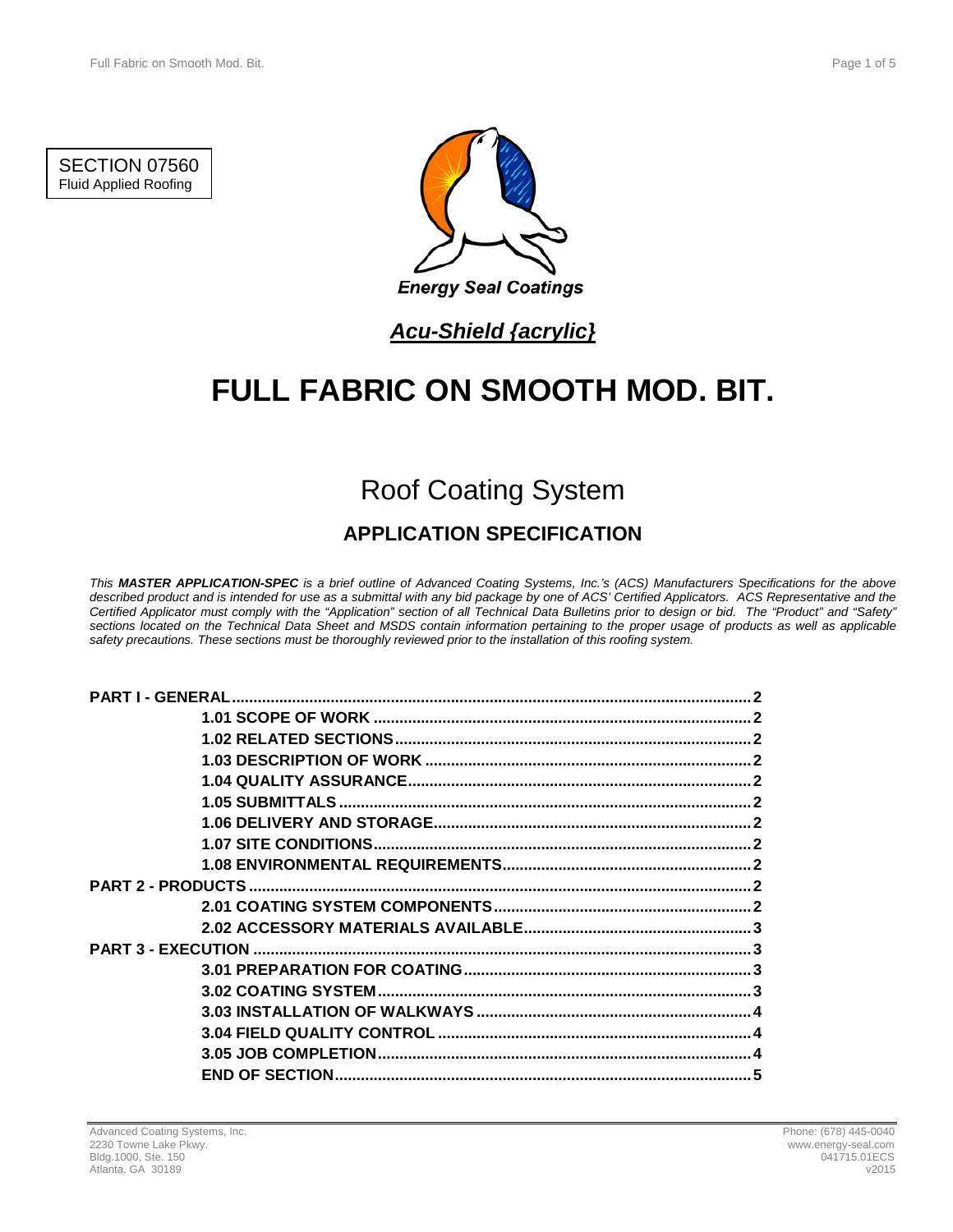SECTION 07560 Fluid Applied Roofing



## *Acu-Shield {acrylic}*

# **FULL FABRIC ON SMOOTH MOD. BIT.**

# Roof Coating System

## **APPLICATION SPECIFICATION**

*This MASTER APPLICATION-SPEC is a brief outline of Advanced Coating Systems, Inc.'s (ACS) Manufacturers Specifications for the above described product and is intended for use as a submittal with any bid package by one of ACS' Certified Applicators. ACS Representative and the Certified Applicator must comply with the "Application" section of all Technical Data Bulletins prior to design or bid. The "Product" and "Safety" sections located on the Technical Data Sheet and MSDS contain information pertaining to the proper usage of products as well as applicable safety precautions. These sections must be thoroughly reviewed prior to the installation of this roofing system.*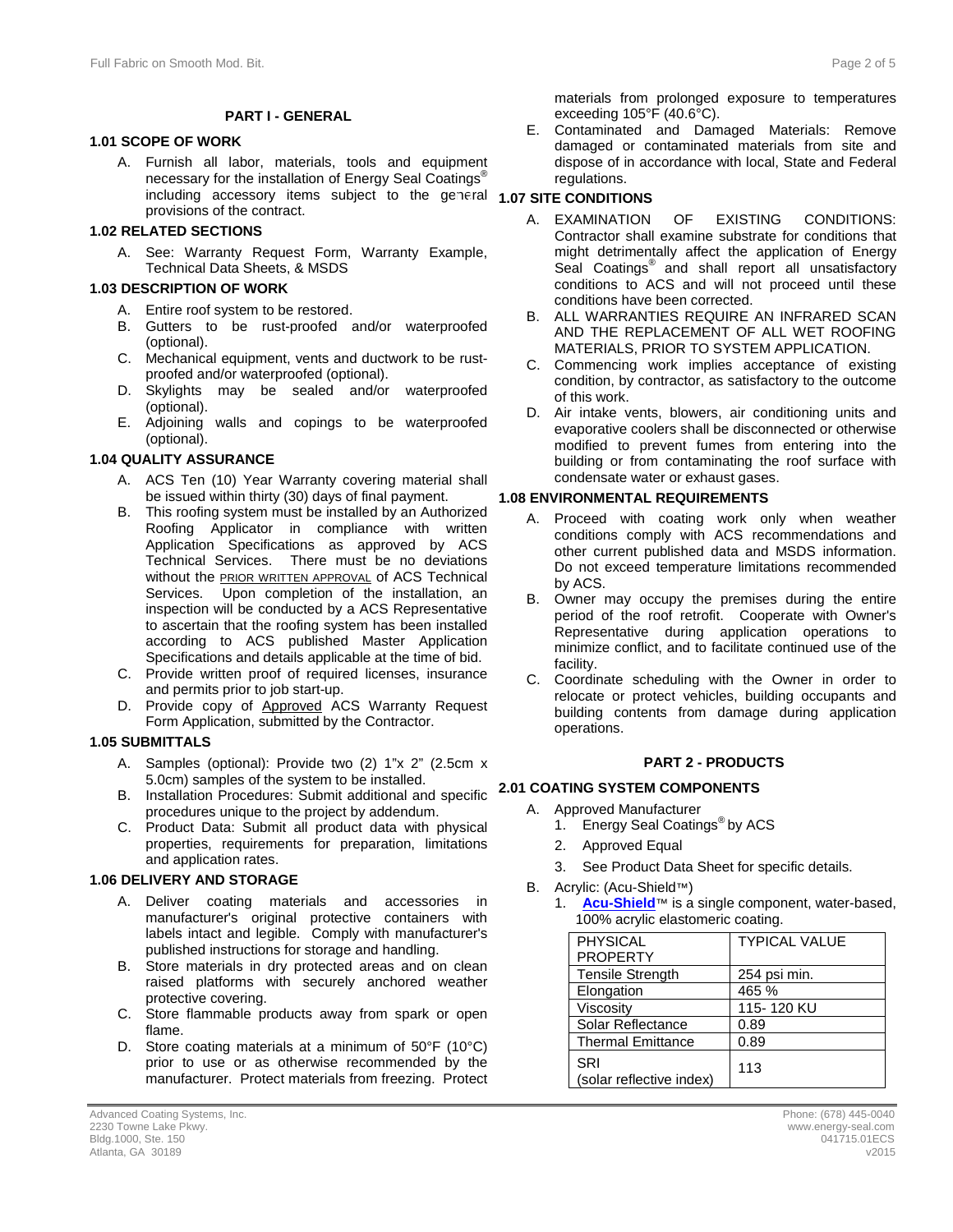#### **PART I - GENERAL**

#### **1.1 1.01 SCOPE OF WORK**

A. Furnish all labor, materials, tools and equipment necessary for the installation of Energy Seal Coatings<sup>®</sup> including accessory items subject to the general **1.07 SITE CONDITIONS** provisions of the contract.

#### **1.2 1.02 RELATED SECTIONS**

A. See: Warranty Request Form, Warranty Example, Technical Data Sheets, & MSDS

#### **1.3 1.03 DESCRIPTION OF WORK**

- A. Entire roof system to be restored.
- B. Gutters to be rust-proofed and/or waterproofed (optional).
- C. Mechanical equipment, vents and ductwork to be rustproofed and/or waterproofed (optional).
- D. Skylights may be sealed and/or waterproofed (optional).
- E. Adjoining walls and copings to be waterproofed (optional).

#### **1.4 1.04 QUALITY ASSURANCE**

- A. ACS Ten (10) Year Warranty covering material shall be issued within thirty (30) days of final payment.
- B. This roofing system must be installed by an Authorized Roofing Applicator in compliance with written Application Specifications as approved by ACS Technical Services. There must be no deviations without the **PRIOR WRITTEN APPROVAL** of ACS Technical Services. Upon completion of the installation, an inspection will be conducted by a ACS Representative to ascertain that the roofing system has been installed according to ACS published Master Application Specifications and details applicable at the time of bid.
- C. Provide written proof of required licenses, insurance and permits prior to job start-up.
- D. Provide copy of Approved ACS Warranty Request Form Application, submitted by the Contractor.

#### **1.5 1.05 SUBMITTALS**

- A. Samples (optional): Provide two (2) 1"x 2" (2.5cm x 5.0cm) samples of the system to be installed. 5.0cm) samples of the system to be installed.
- B. Installation Procedures: Submit additional and specific **2.1 2.01 COATING SYSTEM COMPONENTS** procedures unique to the project by addendum.
- C. Product Data: Submit all product data with physical properties, requirements for preparation, limitations and application rates.

#### **1.6 1.06 DELIVERY AND STORAGE**

- A. Deliver coating materials and accessories in manufacturer's original protective containers with labels intact and legible. Comply with manufacturer's published instructions for storage and handling.
- B. Store materials in dry protected areas and on clean raised platforms with securely anchored weather protective covering.
- C. Store flammable products away from spark or open flame.
- D. Store coating materials at a minimum of 50°F (10°C) prior to use or as otherwise recommended by the manufacturer. Protect materials from freezing. Protect

materials from prolonged exposure to temperatures exceeding 105°F (40.6°C).

E. Contaminated and Damaged Materials: Remove damaged or contaminated materials from site and dispose of in accordance with local, State and Federal regulations.

- A. EXAMINATION OF EXISTING CONDITIONS: Contractor shall examine substrate for conditions that might detrimentally affect the application of Energy Seal Coatings<sup>®</sup> and shall report all unsatisfactory conditions to ACS and will not proceed until these conditions have been corrected.
- B. ALL WARRANTIES REQUIRE AN INFRARED SCAN AND THE REPLACEMENT OF ALL WET ROOFING MATERIALS, PRIOR TO SYSTEM APPLICATION.
- C. Commencing work implies acceptance of existing condition, by contractor, as satisfactory to the outcome of this work.
- D. Air intake vents, blowers, air conditioning units and evaporative coolers shall be disconnected or otherwise modified to prevent fumes from entering into the building or from contaminating the roof surface with condensate water or exhaust gases.

#### **1.8 1.08 ENVIRONMENTAL REQUIREMENTS**

- A. Proceed with coating work only when weather conditions comply with ACS recommendations and other current published data and MSDS information. Do not exceed temperature limitations recommended by ACS.
- B. Owner may occupy the premises during the entire period of the roof retrofit. Cooperate with Owner's Representative during application operations to minimize conflict, and to facilitate continued use of the facility.
- C. Coordinate scheduling with the Owner in order to relocate or protect vehicles, building occupants and building contents from damage during application operations.

#### **2 PART 2 - PRODUCTS**

- A. Approved Manufacturer
	- 1. Energy Seal Coatings<sup>®</sup> by ACS
	- 2. Approved Equal
	- 3. See Product Data Sheet for specific details.
- B. Acrylic: (Acu-Shield™)
	- [Acu-Shield](http://www.energy-seal.com/UserDyn/ACS/pdfs/acu-shield.pdf)<sup>™</sup> is a single component, water-based, 100% acrylic elastomeric coating.

| <b>PHYSICAL</b>                 | <b>TYPICAL VALUE</b> |
|---------------------------------|----------------------|
| <b>PROPERTY</b>                 |                      |
| <b>Tensile Strength</b>         | 254 psi min.         |
| Elongation                      | 465 %                |
| Viscosity                       | 115-120 KU           |
| Solar Reflectance               | 0.89                 |
| <b>Thermal Emittance</b>        | 0.89                 |
| SRI<br>(solar reflective index) | 113                  |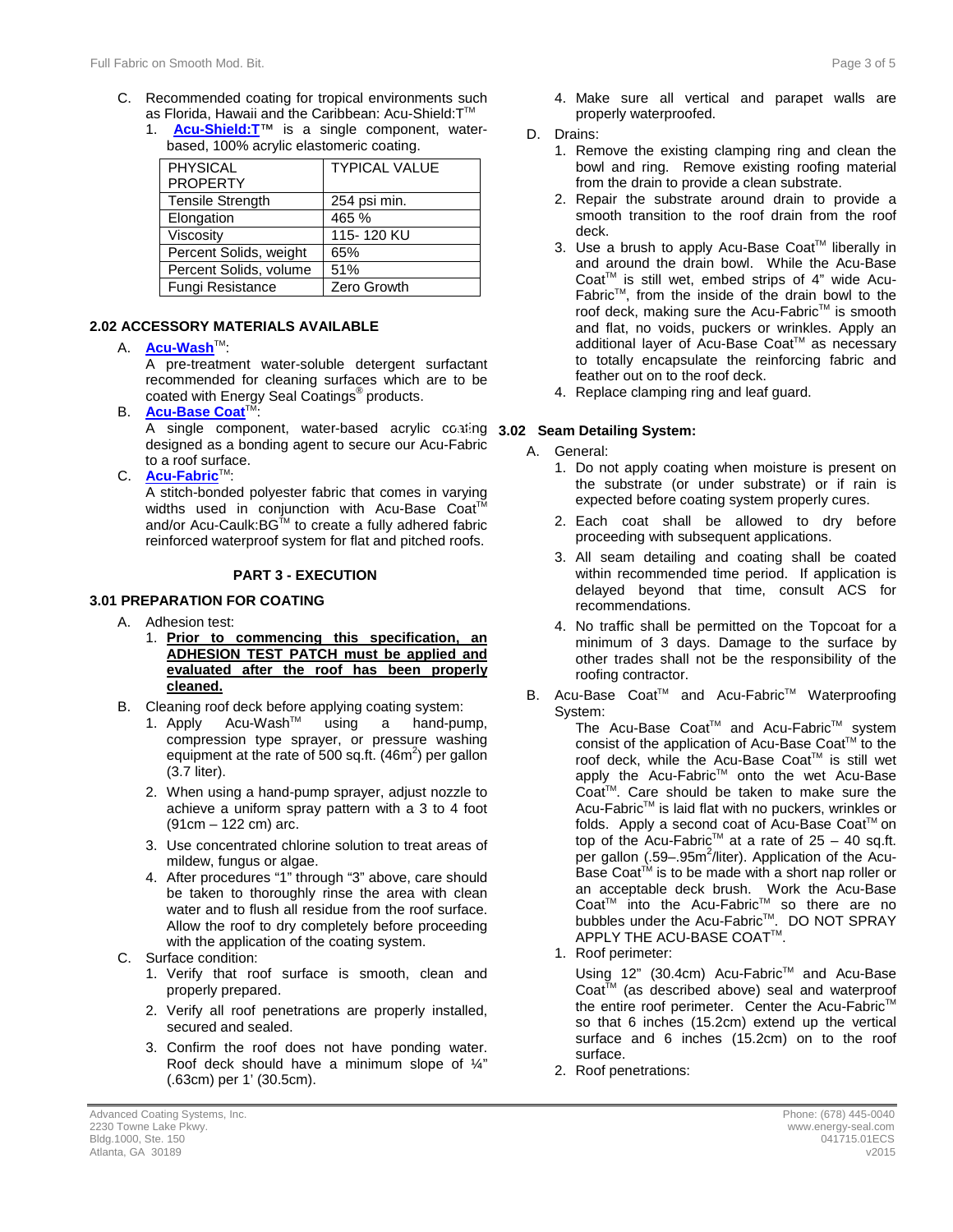- C. Recommended coating for tropical environments such as Florida, Hawaii and the Caribbean: Acu-Shield: T™
	- 1. **[Acu-Shield:T](http://www.energy-seal.com/UserDyn/ACS/pdfs/acu-shield-t.pdf)**™ is a single component, waterbased, 100% acrylic elastomeric coating.

| <b>PHYSICAL</b><br><b>PROPERTY</b> | <b>TYPICAL VALUE</b> |
|------------------------------------|----------------------|
| <b>Tensile Strength</b>            | 254 psi min.         |
| Elongation                         | 465 %                |
| Viscosity                          | 115-120 KU           |
| Percent Solids, weight             | 65%                  |
| Percent Solids, volume             | 51%                  |
| Fungi Resistance                   | Zero Growth          |

#### **2.2 2.02 ACCESSORY MATERIALS AVAILABLE**

A. **[Acu-Wash](http://www.energy-seal.com/UserDyn/ACS/pdfs/acu-wash.pdf)**TM:

A pre-treatment water-soluble detergent surfactant recommended for cleaning surfaces which are to be coated with Energy Seal Coatings® products.

**B. [Acu-Base Coat](http://energy-seal.com/wp-content/uploads/2015/02/Acu-Base-Coat.pdf)**<sup>T</sup>

A single component, water-based acrylic coating **3.02 Seam Detailing System:** designed as a bonding agent to secure our Acu-Fabric to a roof surface.

C. **[Acu-Fabric](http://www.energy-seal.com/UserDyn/ACS/pdfs/acu-fabric-sb.pdf)**™:

A stitch-bonded polyester fabric that comes in varying widths used in conjunction with Acu-Base Coat<sup>T</sup> and/or Acu-Caulk:BG<sup>™</sup> to create a fully adhered fabric reinforced waterproof system for flat and pitched roofs.

#### **3 PART 3 - EXECUTION**

#### **3.1 3.01 PREPARATION FOR COATING**

- A. Adhesion test:
	- 1. **Prior to commencing this specification, an ADHESION TEST PATCH must be applied and evaluated after the roof has been properly cleaned.**
- B. Cleaning roof deck before applying coating system:<br>1. Apply Acu-Wash™ using a hand-pui
	- 1. Apply Acu-Wash<sup>™</sup> using a hand-pump, compression type sprayer, or pressure washing equipment at the rate of 500 sq.ft.  $(46m^2)$  per gallon (3.7 liter).
	- 2. When using a hand-pump sprayer, adjust nozzle to achieve a uniform spray pattern with a 3 to 4 foot (91cm – 122 cm) arc.
	- 3. Use concentrated chlorine solution to treat areas of mildew, fungus or algae.
	- 4. After procedures "1" through "3" above, care should be taken to thoroughly rinse the area with clean water and to flush all residue from the roof surface. Allow the roof to dry completely before proceeding with the application of the coating system.
- C. Surface condition:
	- 1. Verify that roof surface is smooth, clean and properly prepared.
	- 2. Verify all roof penetrations are properly installed, secured and sealed.
	- 3. Confirm the roof does not have ponding water. Roof deck should have a minimum slope of ¼" (.63cm) per 1' (30.5cm).
- 4. Make sure all vertical and parapet walls are properly waterproofed.
- D. Drains:
	- 1. Remove the existing clamping ring and clean the bowl and ring. Remove existing roofing material from the drain to provide a clean substrate.
	- 2. Repair the substrate around drain to provide a smooth transition to the roof drain from the roof deck.
	- 3. Use a brush to apply Acu-Base Coat™ liberally in and around the drain bowl. While the Acu-Base Coat<sup>™</sup> is still wet, embed strips of 4" wide Acu-Fabric $TM$ , from the inside of the drain bowl to the roof deck, making sure the Acu-Fabric™ is smooth and flat, no voids, puckers or wrinkles. Apply an additional layer of Acu-Base Coat™ as necessary to totally encapsulate the reinforcing fabric and feather out on to the roof deck.
	- 4. Replace clamping ring and leaf guard.

- A. General:
	- 1. Do not apply coating when moisture is present on the substrate (or under substrate) or if rain is expected before coating system properly cures.
	- 2. Each coat shall be allowed to dry before proceeding with subsequent applications.
	- 3. All seam detailing and coating shall be coated within recommended time period. If application is delayed beyond that time, consult ACS for recommendations.
	- 4. No traffic shall be permitted on the Topcoat for a minimum of 3 days. Damage to the surface by other trades shall not be the responsibility of the roofing contractor.
- B. Acu-Base Coat™ and Acu-Fabric<sup>™</sup> Waterproofing System:

The Acu-Base Coat™ and Acu-Fabric™ system consist of the application of Acu-Base Coat™ to the roof deck, while the Acu-Base Coat™ is still wet apply the Acu-Fabric™ onto the wet Acu-Base Coat<sup>™</sup>. Care should be taken to make sure the Acu-Fabric™ is laid flat with no puckers, wrinkles or folds. Apply a second coat of Acu-Base Coat™ on top of the Acu-Fabric<sup>™</sup> at a rate of  $25 - 40$  sq.ft. per gallon (.59-.95m<sup>2</sup>/liter). Application of the Acu-Base Coat<sup>™</sup> is to be made with a short nap roller or an acceptable deck brush. Work the Acu-Base Coat<sup>™</sup> into the Acu-Fabric<sup>™</sup> so there are no bubbles under the Acu-Fabric™. DO NOT SPRAY  $\mathsf{APPLY}$  THE ACU-BASE COAT $^{\mathsf{TM}}$ .

1. Roof perimeter:

Using 12" (30.4cm) Acu-Fabric™ and Acu-Base  $Coat<sup>TM</sup>$  (as described above) seal and waterproof the entire roof perimeter. Center the Acu-Fabric<sup>™</sup> so that 6 inches (15.2cm) extend up the vertical surface and 6 inches (15.2cm) on to the roof surface.

2. Roof penetrations: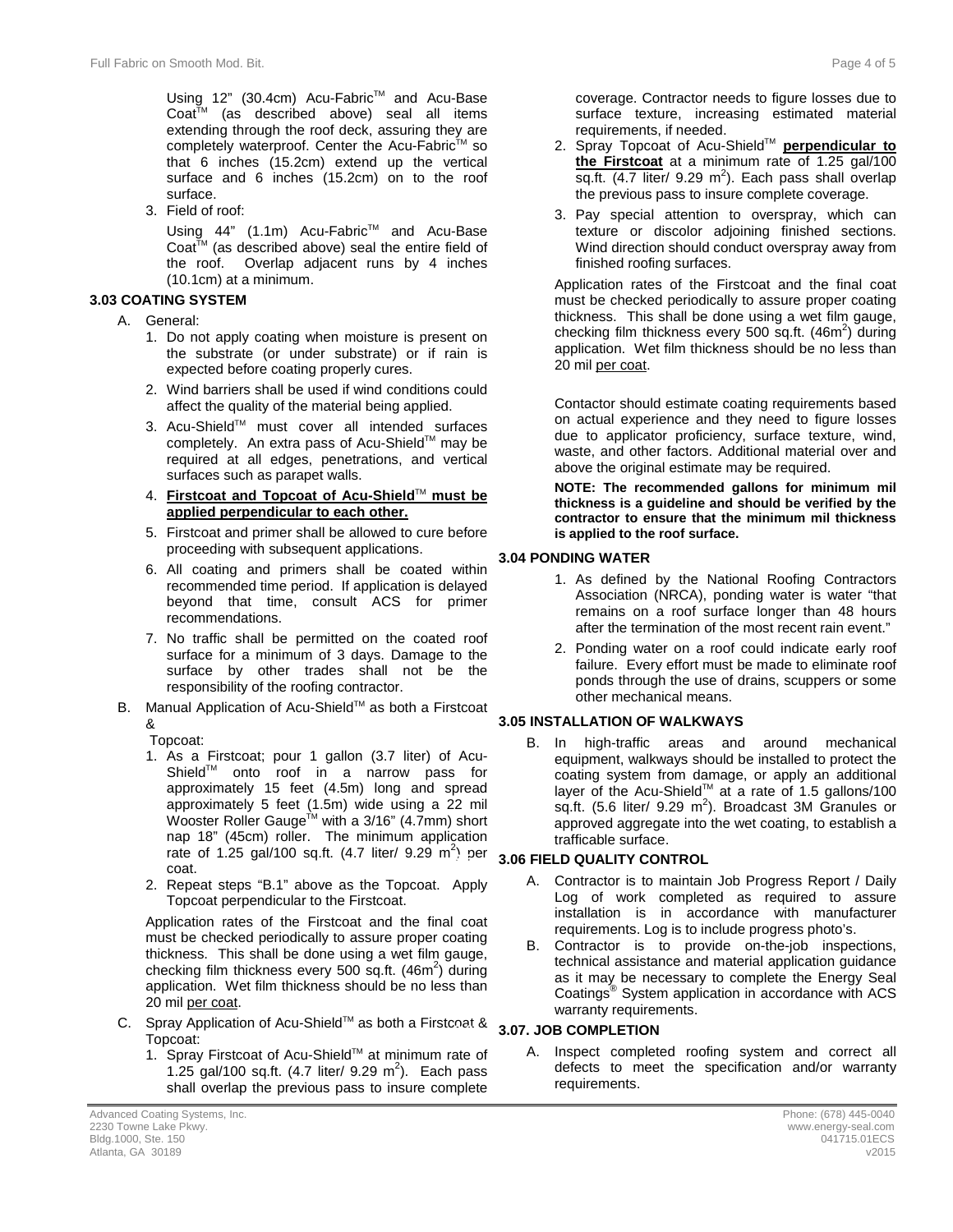Using 12" (30.4cm) Acu-Fabric<sup>™</sup> and Acu-Base Coat<sup>™</sup> (as described above) seal all items extending through the roof deck, assuring they are completely waterproof. Center the Acu-Fabric™ so that 6 inches (15.2cm) extend up the vertical surface and 6 inches (15.2cm) on to the roof surface.

3. Field of roof:

Using 44" (1.1m) Acu-Fabric™ and Acu-Base Coat<sup>™</sup> (as described above) seal the entire field of the roof. Overlap adjacent runs by 4 inches (10.1cm) at a minimum.

#### **3.3 3.03 COATING SYSTEM**

- A. General:
	- 1. Do not apply coating when moisture is present on the substrate (or under substrate) or if rain is expected before coating properly cures.
	- 2. Wind barriers shall be used if wind conditions could affect the quality of the material being applied.
	- 3. Acu-Shield™ must cover all intended surfaces completely. An extra pass of Acu-Shield™ may be required at all edges, penetrations, and vertical surfaces such as parapet walls.
	- 4. **Firstcoat and Topcoat of Acu-Shield**TM **must be applied perpendicular to each other.**
	- 5. Firstcoat and primer shall be allowed to cure before proceeding with subsequent applications.
	- 6. All coating and primers shall be coated within recommended time period. If application is delayed beyond that time, consult ACS for primer recommendations.
	- 7. No traffic shall be permitted on the coated roof surface for a minimum of 3 days. Damage to the surface by other trades shall not be the responsibility of the roofing contractor.
- B. Manual Application of Acu-Shield™ as both a Firstcoat &

Topcoat:

- 1. As a Firstcoat; pour 1 gallon (3.7 liter) of Acu-ShieldTM onto roof in a narrow pass for approximately 15 feet (4.5m) long and spread approximately 5 feet (1.5m) wide using a 22 mil Wooster Roller Gauge<sup>™</sup> with a 3/16" (4.7mm) short nap 18" (45cm) roller. The minimum application rate of 1.25 gal/100 sq.ft.  $(4.7 \text{ liter/ } 9.29 \text{ m}^2)$  per coat.
- 2. Repeat steps "B.1" above as the Topcoat. Apply Topcoat perpendicular to the Firstcoat.

Application rates of the Firstcoat and the final coat must be checked periodically to assure proper coating thickness. This shall be done using a wet film gauge, checking film thickness every 500 sq.ft. (46m<sup>2</sup>) during application. Wet film thickness should be no less than 20 mil per coat.

- C. Spray Application of Acu-Shield™ as both a Firstcoat & Topcoat:
	- 1. Spray Firstcoat of Acu-ShieldTM at minimum rate of 1.25 gal/100 sq.ft.  $(4.7 \text{ liter/ } 9.29 \text{ m}^2)$ . Each pass shall overlap the previous pass to insure complete

coverage. Contractor needs to figure losses due to surface texture, increasing estimated material requirements, if needed.

- 2. Spray Topcoat of Acu-Shield™ **perpendicular to the Firstcoat** at a minimum rate of 1.25 gal/100 sq.ft.  $(4.7$  liter/ 9.29 m<sup>2</sup>). Each pass shall overlap the previous pass to insure complete coverage.
- 3. Pay special attention to overspray, which can texture or discolor adjoining finished sections. Wind direction should conduct overspray away from finished roofing surfaces.

Application rates of the Firstcoat and the final coat must be checked periodically to assure proper coating thickness. This shall be done using a wet film gauge, checking film thickness every 500 sq.ft. (46m<sup>2</sup>) during application. Wet film thickness should be no less than 20 mil per coat.

Contactor should estimate coating requirements based on actual experience and they need to figure losses due to applicator proficiency, surface texture, wind, waste, and other factors. Additional material over and above the original estimate may be required.

**NOTE: The recommended gallons for minimum mil thickness is a guideline and should be verified by the contractor to ensure that the minimum mil thickness is applied to the roof surface.** 

### **3.4 3.04 PONDING WATER**

- 1. As defined by the National Roofing Contractors Association (NRCA), ponding water is water "that remains on a roof surface longer than 48 hours after the termination of the most recent rain event."
- 2. Ponding water on a roof could indicate early roof failure. Every effort must be made to eliminate roof ponds through the use of drains, scuppers or some other mechanical means.

#### **3.05 INSTALLATION OF WALKWAYS**

B. In high-traffic areas and around mechanical equipment, walkways should be installed to protect the coating system from damage, or apply an additional layer of the Acu-Shield<sup>™</sup> at a rate of 1.5 gallons/100 sq.ft. (5.6 liter/ 9.29  $m^2$ ). Broadcast 3M Granules or approved aggregate into the wet coating, to establish a trafficable surface.

### **3.5 3.06 FIELD QUALITY CONTROL**

- A. Contractor is to maintain Job Progress Report / Daily Log of work completed as required to assure installation is in accordance with manufacturer requirements. Log is to include progress photo's.
- B. Contractor is to provide on-the-job inspections, technical assistance and material application guidance as it may be necessary to complete the Energy Seal Coatings® System application in accordance with ACS warranty requirements.

### **3.6 3.07. JOB COMPLETION**

A. Inspect completed roofing system and correct all defects to meet the specification and/or warranty requirements.